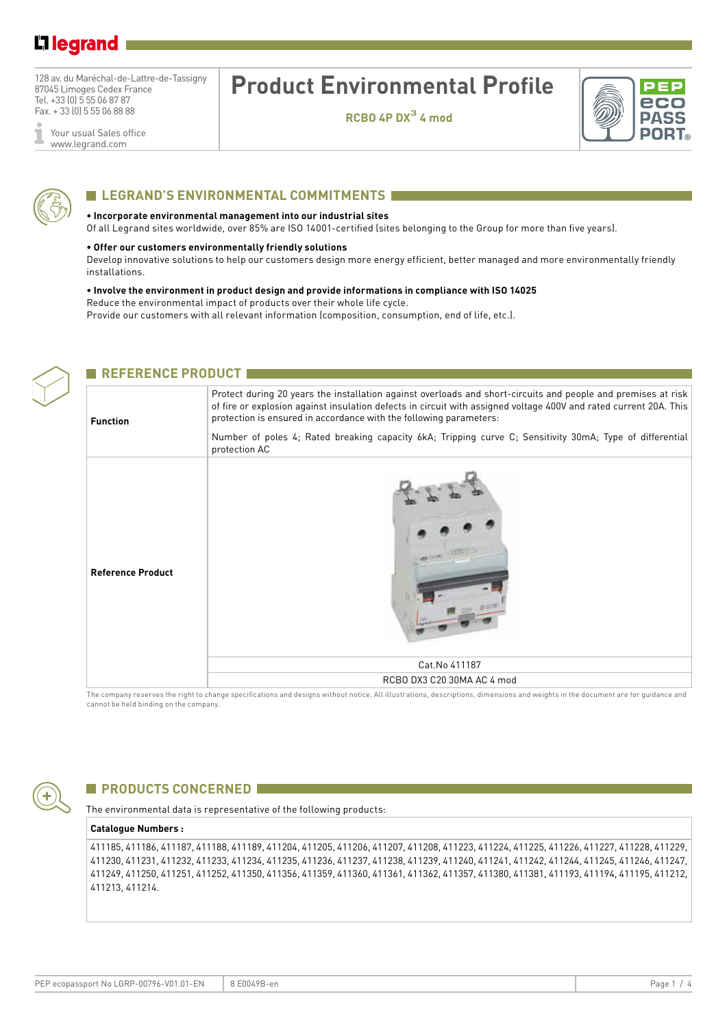# L1 legrand

128 av. du Maréchal-de-Lattre-de-Tassigny 87045 Limoges Cedex France Tel. +33 (0) 5 55 06 87 87 Fax. + 33 (0) 5 55 06 88 88

# **Product Environmental Profile**

**RCBO 4P DX3 4 mod**



## **LEGRAND'S ENVIRONMENTAL COMMITMENTS**

#### **• Incorporate environmental management into our industrial sites**

Of all Legrand sites worldwide, over 85% are ISO 14001-certified (sites belonging to the Group for more than five years).

### **• Offer our customers environmentally friendly solutions**

**E REFERENCE PRODUCT E** 

Develop innovative solutions to help our customers design more energy efficient, better managed and more environmentally friendly installations.

#### **• Involve the environment in product design and provide informations in compliance with ISO 14025** Reduce the environmental impact of products over their whole life cycle.

Provide our customers with all relevant information (composition, consumption, end of life, etc.).



| <b>Function</b>          | Protect during 20 years the installation against overloads and short-circuits and people and premises at risk<br>of fire or explosion against insulation defects in circuit with assigned voltage 400V and rated current 20A. This<br>protection is ensured in accordance with the following parameters:<br>Number of poles 4; Rated breaking capacity 6kA; Tripping curve C; Sensitivity 30mA; Type of differential<br>protection AC |  |  |  |
|--------------------------|---------------------------------------------------------------------------------------------------------------------------------------------------------------------------------------------------------------------------------------------------------------------------------------------------------------------------------------------------------------------------------------------------------------------------------------|--|--|--|
| <b>Reference Product</b> |                                                                                                                                                                                                                                                                                                                                                                                                                                       |  |  |  |
|                          | Cat. No 411187                                                                                                                                                                                                                                                                                                                                                                                                                        |  |  |  |
|                          | RCBO DX3 C20 30MA AC 4 mod                                                                                                                                                                                                                                                                                                                                                                                                            |  |  |  |

The company reserves the right to change specifications and designs without notice. All illustrations, descriptions, dimensions and weights in the document are for guidance and cannot be held binding on the company.



## **EXPRODUCTS CONCERNED FOR**

The environmental data is representative of the following products:

### **Catalogue Numbers :**

411185, 411186, 411187, 411188, 411189, 411204, 411205, 411206, 411207, 411208, 411223, 411224, 411225, 411226, 411227, 411228, 411229, 411230, 411231, 411232, 411233, 411234, 411235, 411236, 411237, 411238, 411239, 411240, 411241, 411242, 411244, 411245, 411246, 411247, 411249, 411250, 411251, 411252, 411350, 411356, 411359, 411360, 411361, 411362, 411357, 411380, 411381, 411193, 411194, 411195, 411212, 411213, 411214.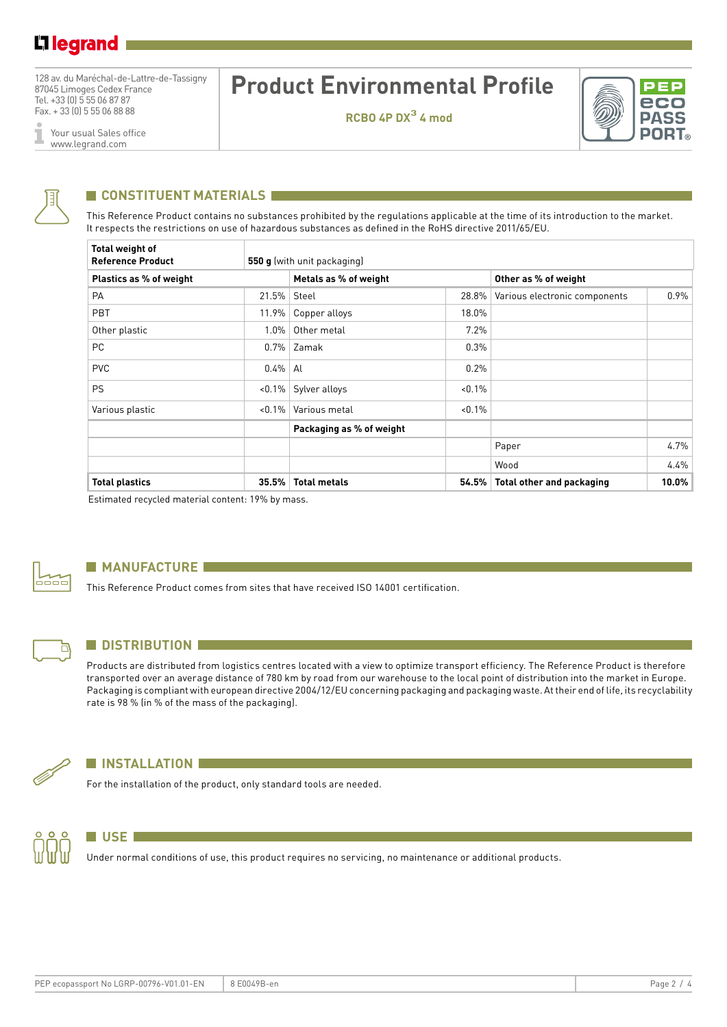128 av. du Maréchal-de-Lattre-de-Tassigny 87045 Limoges Cedex France Tel. +33 (0) 5 55 06 87 87 Fax. + 33 (0) 5 55 06 88 88

Your usual Sales office I www.legrand.com

# **Product Environmental Profile**

**RCBO 4P DX3 4 mod**





## **CONSTITUENT MATERIALS**

This Reference Product contains no substances prohibited by the regulations applicable at the time of its introduction to the market. It respects the restrictions on use of hazardous substances as defined in the RoHS directive 2011/65/EU.

| <b>Total weight of</b><br><b>Reference Product</b> |           | 550 g (with unit packaging) |           |                                  |         |  |  |
|----------------------------------------------------|-----------|-----------------------------|-----------|----------------------------------|---------|--|--|
| Plastics as % of weight                            |           | Metals as % of weight       |           | Other as % of weight             |         |  |  |
| PA                                                 | 21.5%     | Steel                       | 28.8%     | Various electronic components    | $0.9\%$ |  |  |
| PBT                                                | 11.9%     | Copper alloys               | 18.0%     |                                  |         |  |  |
| Other plastic                                      | $1.0\%$   | Other metal                 | 7.2%      |                                  |         |  |  |
| PC                                                 | $0.7\%$   | Zamak                       | 0.3%      |                                  |         |  |  |
| <b>PVC</b>                                         | $0.4\%$   | Al                          | 0.2%      |                                  |         |  |  |
| <b>PS</b>                                          | $< 0.1\%$ | Sylver alloys               | $< 0.1\%$ |                                  |         |  |  |
| Various plastic                                    | $< 0.1\%$ | Various metal               | $< 0.1\%$ |                                  |         |  |  |
|                                                    |           | Packaging as % of weight    |           |                                  |         |  |  |
|                                                    |           |                             |           | Paper                            | 4.7%    |  |  |
|                                                    |           |                             |           | Wood                             | 4.4%    |  |  |
| <b>Total plastics</b>                              | 35.5%     | <b>Total metals</b>         | 54.5%     | <b>Total other and packaging</b> | 10.0%   |  |  |

Estimated recycled material content: 19% by mass.



### **MANUFACTURE**

This Reference Product comes from sites that have received ISO 14001 certification.



### **N** DISTRIBUTION

Products are distributed from logistics centres located with a view to optimize transport efficiency. The Reference Product is therefore transported over an average distance of 780 km by road from our warehouse to the local point of distribution into the market in Europe. Packaging is compliant with european directive 2004/12/EU concerning packaging and packaging waste. At their end of life, its recyclability rate is 98 % (in % of the mass of the packaging).



### **N** INSTALLATION

For the installation of the product, only standard tools are needed.



## **NUSE**

Under normal conditions of use, this product requires no servicing, no maintenance or additional products.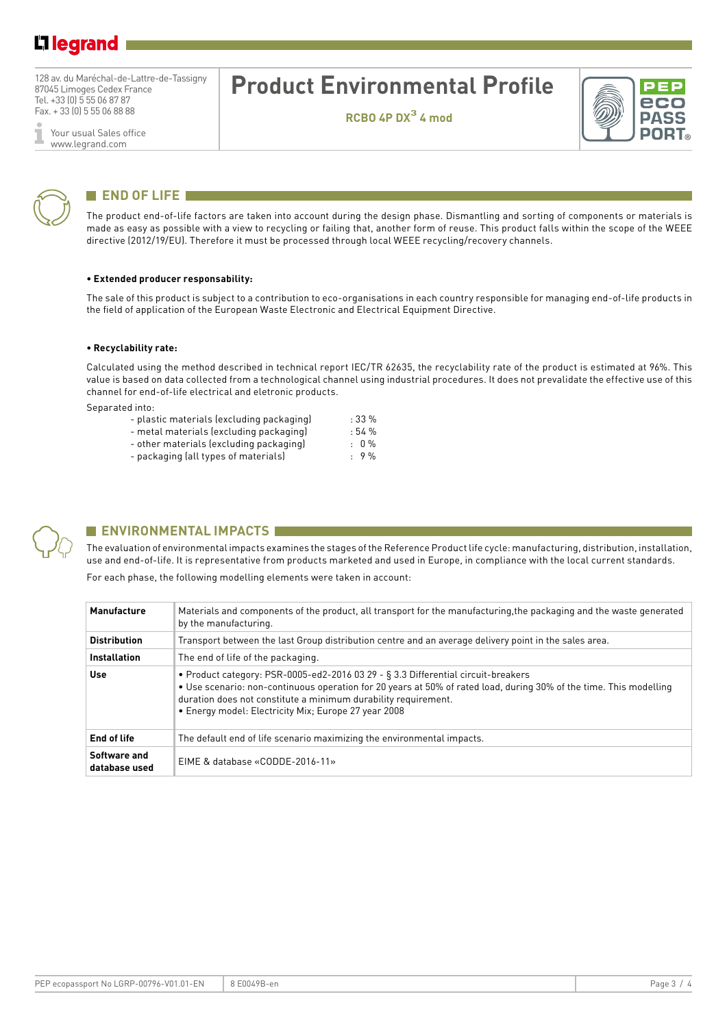# L1 legrand

128 av. du Maréchal-de-Lattre-de-Tassigny 87045 Limoges Cedex France Tel. +33 (0) 5 55 06 87 87 Fax. + 33 (0) 5 55 06 88 88

Your usual Sales office ī www.legrand.com



## **END OF LIFE**

The product end-of-life factors are taken into account during the design phase. Dismantling and sorting of components or materials is made as easy as possible with a view to recycling or failing that, another form of reuse. This product falls within the scope of the WEEE directive (2012/19/EU). Therefore it must be processed through local WEEE recycling/recovery channels.

**Product Environmental Profile**

**RCBO 4P DX3 4 mod**

#### **• Extended producer responsability:**

The sale of this product is subject to a contribution to eco-organisations in each country responsible for managing end-of-life products in the field of application of the European Waste Electronic and Electrical Equipment Directive.

#### **• Recyclability rate:**

Calculated using the method described in technical report IEC/TR 62635, the recyclability rate of the product is estimated at 96%. This value is based on data collected from a technological channel using industrial procedures. It does not prevalidate the effective use of this channel for end-of-life electrical and eletronic products.

Separated into:

| - plastic materials (excluding packaging) | :33%          |
|-------------------------------------------|---------------|
| - metal materials (excluding packaging)   | :54%          |
| - other materials (excluding packaging)   | $: 0\%$       |
|                                           | $\sim$ $\sim$ |

- packaging (all types of materials) : 9 %



## **ENVIRONMENTAL IMPACTS I**

The evaluation of environmental impacts examines the stages of the Reference Product life cycle: manufacturing, distribution, installation, use and end-of-life. It is representative from products marketed and used in Europe, in compliance with the local current standards. For each phase, the following modelling elements were taken in account:

| <b>Manufacture</b>            | Materials and components of the product, all transport for the manufacturing, the packaging and the waste generated<br>by the manufacturing.                                                                                                                                                                                      |
|-------------------------------|-----------------------------------------------------------------------------------------------------------------------------------------------------------------------------------------------------------------------------------------------------------------------------------------------------------------------------------|
| <b>Distribution</b>           | Transport between the last Group distribution centre and an average delivery point in the sales area.                                                                                                                                                                                                                             |
| <b>Installation</b>           | The end of life of the packaging.                                                                                                                                                                                                                                                                                                 |
| Use                           | • Product category: PSR-0005-ed2-2016 03 29 - § 3.3 Differential circuit-breakers<br>• Use scenario: non-continuous operation for 20 years at 50% of rated load, during 30% of the time. This modelling<br>duration does not constitute a minimum durability requirement.<br>• Energy model: Electricity Mix; Europe 27 year 2008 |
| End of life                   | The default end of life scenario maximizing the environmental impacts.                                                                                                                                                                                                                                                            |
| Software and<br>database used | EIME & database «CODDE-2016-11»                                                                                                                                                                                                                                                                                                   |

PEF eco **PASS PORT**